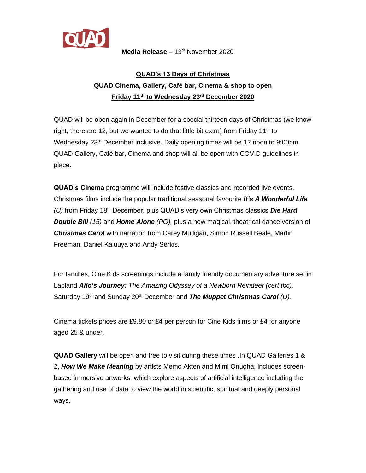

#### **Media Release** – 13<sup>th</sup> November 2020

# **QUAD's 13 Days of Christmas QUAD Cinema, Gallery, Café bar, Cinema & shop to open Friday 11th to Wednesday 23rd December 2020**

QUAD will be open again in December for a special thirteen days of Christmas (we know right, there are 12, but we wanted to do that little bit extra) from Friday 11<sup>th</sup> to Wednesday 23<sup>rd</sup> December inclusive. Daily opening times will be 12 noon to 9:00pm, QUAD Gallery, Café bar, Cinema and shop will all be open with COVID guidelines in place.

**QUAD's Cinema** programme will include festive classics and recorded live events. Christmas films include the popular traditional seasonal favourite *It's A Wonderful Life*  (U) from Friday 18<sup>th</sup> December, plus QUAD's very own Christmas classics *Die Hard Double Bill (15)* and *Home Alone (PG),* plus a new magical, theatrical dance version of *Christmas Carol* with narration from Carey Mulligan, Simon Russell Beale, Martin Freeman, Daniel Kaluuya and Andy Serkis.

For families, Cine Kids screenings include a family friendly documentary adventure set in Lapland *Ailo's Journey: The Amazing Odyssey of a Newborn Reindeer (cert tbc),* Saturday 19<sup>th</sup> and Sunday 20<sup>th</sup> December and **The Muppet Christmas Carol** (U).

Cinema tickets prices are £9.80 or £4 per person for Cine Kids films or £4 for anyone aged 25 & under.

**QUAD Gallery** will be open and free to visit during these times .In QUAD Galleries 1 & 2, *How We Make Meaning* by artists Memo Akten and Mimi Ọnụọha, includes screenbased immersive artworks, which explore aspects of artificial intelligence including the gathering and use of data to view the world in scientific, spiritual and deeply personal ways.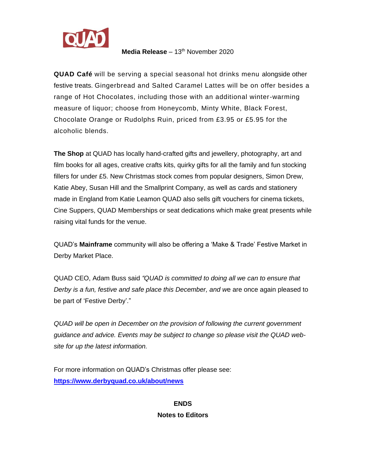

#### **Media Release** – 13<sup>th</sup> November 2020

**QUAD Café** will be serving a special seasonal hot drinks menu alongside other festive treats. Gingerbread and Salted Caramel Lattes will be on offer besides a range of Hot Chocolates, including those with an additional winter-warming measure of liquor; choose from Honeycomb, Minty White, Black Forest, Chocolate Orange or Rudolphs Ruin, priced from £3.95 or £5.95 for the alcoholic blends.

**The Shop** at QUAD has locally hand-crafted gifts and jewellery, photography, art and film books for all ages, creative crafts kits, quirky gifts for all the family and fun stocking fillers for under £5. New Christmas stock comes from popular designers, Simon Drew, Katie Abey, Susan Hill and the Smallprint Company, as well as cards and stationery made in England from Katie Leamon QUAD also sells gift vouchers for cinema tickets, Cine Suppers, QUAD Memberships or seat dedications which make great presents while raising vital funds for the venue.

QUAD's **Mainframe** community will also be offering a 'Make & Trade' Festive Market in Derby Market Place.

QUAD CEO, Adam Buss said *"QUAD is committed to doing all we can to ensure that Derby is a fun, festive and safe place this December, and w*e are once again pleased to be part of 'Festive Derby'."

*QUAD will be open in December on the provision of following the current government guidance and advice. Events may be subject to change so please visit the QUAD website for up the latest information.*

For more information on QUAD's Christmas offer please see: **<https://www.derbyquad.co.uk/about/news>**

### **ENDS Notes to Editors**